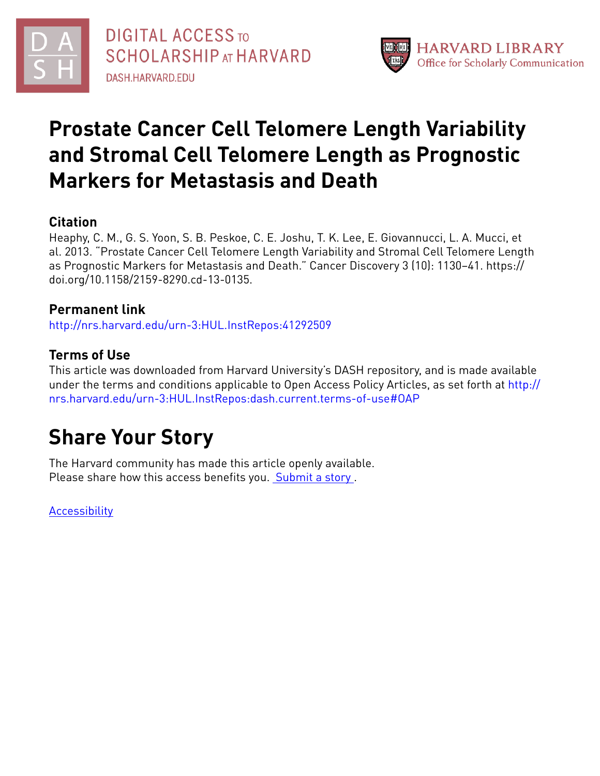



# **Prostate Cancer Cell Telomere Length Variability and Stromal Cell Telomere Length as Prognostic Markers for Metastasis and Death**

## **Citation**

Heaphy, C. M., G. S. Yoon, S. B. Peskoe, C. E. Joshu, T. K. Lee, E. Giovannucci, L. A. Mucci, et al. 2013. "Prostate Cancer Cell Telomere Length Variability and Stromal Cell Telomere Length as Prognostic Markers for Metastasis and Death." Cancer Discovery 3 (10): 1130–41. https:// doi.org/10.1158/2159-8290.cd-13-0135.

### **Permanent link**

<http://nrs.harvard.edu/urn-3:HUL.InstRepos:41292509>

## **Terms of Use**

This article was downloaded from Harvard University's DASH repository, and is made available under the terms and conditions applicable to Open Access Policy Articles, as set forth at [http://](http://nrs.harvard.edu/urn-3:HUL.InstRepos:dash.current.terms-of-use#OAP) [nrs.harvard.edu/urn-3:HUL.InstRepos:dash.current.terms-of-use#OAP](http://nrs.harvard.edu/urn-3:HUL.InstRepos:dash.current.terms-of-use#OAP)

# **Share Your Story**

The Harvard community has made this article openly available. Please share how this access benefits you. [Submit](http://osc.hul.harvard.edu/dash/open-access-feedback?handle=&title=Prostate%20Cancer%20Cell%20Telomere%20Length%20Variability%20and%20Stromal%20Cell%20Telomere%20Length%20as%20Prognostic%20Markers%20for%20Metastasis%20and%20Death&community=1/4454687&collection=1/4454688&owningCollection1/4454688&harvardAuthors=c781fc4fc45a5d613e7410bc9389789a&department) a story.

**[Accessibility](https://dash.harvard.edu/pages/accessibility)**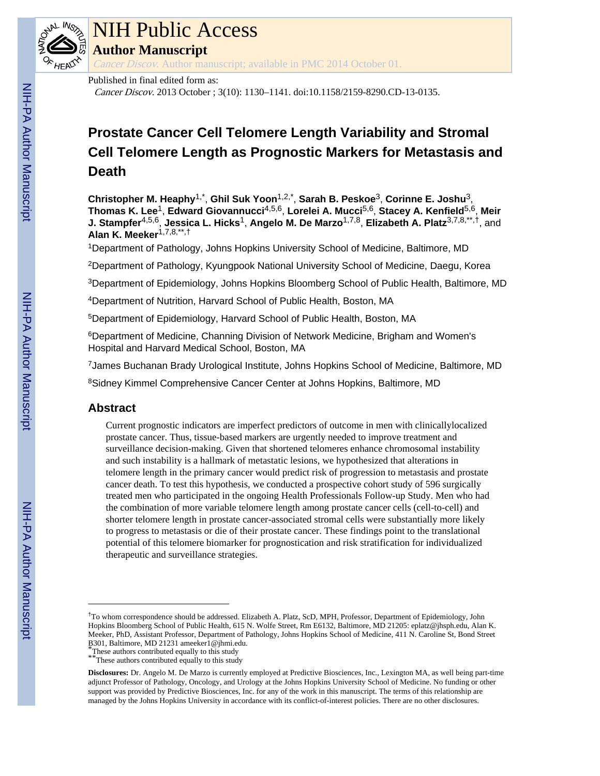

# NIH Public Access

**Author Manuscript**

Cancer Discov. Author manuscript; available in PMC 2014 October 01.

#### Published in final edited form as:

Cancer Discov. 2013 October ; 3(10): 1130–1141. doi:10.1158/2159-8290.CD-13-0135.

## **Prostate Cancer Cell Telomere Length Variability and Stromal Cell Telomere Length as Prognostic Markers for Metastasis and Death**

**Christopher M. Heaphy**1,\* , **Ghil Suk Yoon**1,2,\* , **Sarah B. Peskoe**3, **Corinne E. Joshu**3, **Thomas K. Lee**1, **Edward Giovannucci**4,5,6, **Lorelei A. Mucci**5,6, **Stacey A. Kenfield**5,6, **Meir J. Stampfer**4,5,6, **Jessica L. Hicks**1, **Angelo M. De Marzo**1,7,8, **Elizabeth A. Platz**3,7,8,\*\*,†, and **Alan K. Meeker**1,7,8,\*\*,†

<sup>1</sup>Department of Pathology, Johns Hopkins University School of Medicine, Baltimore, MD

<sup>2</sup>Department of Pathology, Kyungpook National University School of Medicine, Daegu, Korea

<sup>3</sup>Department of Epidemiology, Johns Hopkins Bloomberg School of Public Health, Baltimore, MD

<sup>4</sup>Department of Nutrition, Harvard School of Public Health, Boston, MA

<sup>5</sup>Department of Epidemiology, Harvard School of Public Health, Boston, MA

<sup>6</sup>Department of Medicine, Channing Division of Network Medicine, Brigham and Women's Hospital and Harvard Medical School, Boston, MA

<sup>7</sup>James Buchanan Brady Urological Institute, Johns Hopkins School of Medicine, Baltimore, MD

<sup>8</sup>Sidney Kimmel Comprehensive Cancer Center at Johns Hopkins, Baltimore, MD

#### **Abstract**

Current prognostic indicators are imperfect predictors of outcome in men with clinicallylocalized prostate cancer. Thus, tissue-based markers are urgently needed to improve treatment and surveillance decision-making. Given that shortened telomeres enhance chromosomal instability and such instability is a hallmark of metastatic lesions, we hypothesized that alterations in telomere length in the primary cancer would predict risk of progression to metastasis and prostate cancer death. To test this hypothesis, we conducted a prospective cohort study of 596 surgically treated men who participated in the ongoing Health Professionals Follow-up Study. Men who had the combination of more variable telomere length among prostate cancer cells (cell-to-cell) and shorter telomere length in prostate cancer-associated stromal cells were substantially more likely to progress to metastasis or die of their prostate cancer. These findings point to the translational potential of this telomere biomarker for prognostication and risk stratification for individualized therapeutic and surveillance strategies.

<sup>†</sup>To whom correspondence should be addressed. Elizabeth A. Platz, ScD, MPH, Professor, Department of Epidemiology, John Hopkins Bloomberg School of Public Health, 615 N. Wolfe Street, Rm E6132, Baltimore, MD 21205: eplatz@jhsph.edu, Alan K. Meeker, PhD, Assistant Professor, Department of Pathology, Johns Hopkins School of Medicine, 411 N. Caroline St, Bond Street B301, Baltimore, MD 21231 ameeker1@jhmi.edu.

These authors contributed equally to this study

<sup>\*\*\*</sup>These authors contributed equally to this study

**Disclosures:** Dr. Angelo M. De Marzo is currently employed at Predictive Biosciences, Inc., Lexington MA, as well being part-time adjunct Professor of Pathology, Oncology, and Urology at the Johns Hopkins University School of Medicine. No funding or other support was provided by Predictive Biosciences, Inc. for any of the work in this manuscript. The terms of this relationship are managed by the Johns Hopkins University in accordance with its conflict-of-interest policies. There are no other disclosures.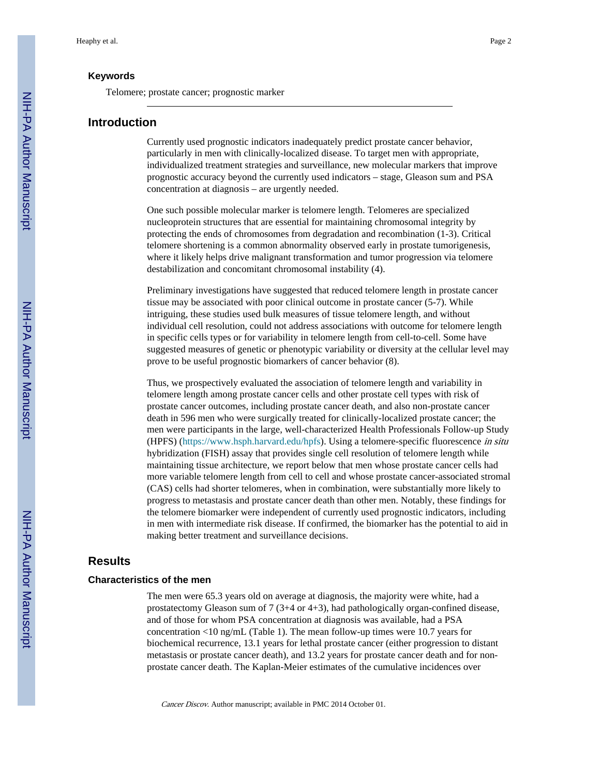#### **Keywords**

Telomere; prostate cancer; prognostic marker

#### **Introduction**

Currently used prognostic indicators inadequately predict prostate cancer behavior, particularly in men with clinically-localized disease. To target men with appropriate, individualized treatment strategies and surveillance, new molecular markers that improve prognostic accuracy beyond the currently used indicators – stage, Gleason sum and PSA concentration at diagnosis – are urgently needed.

One such possible molecular marker is telomere length. Telomeres are specialized nucleoprotein structures that are essential for maintaining chromosomal integrity by protecting the ends of chromosomes from degradation and recombination (1-3). Critical telomere shortening is a common abnormality observed early in prostate tumorigenesis, where it likely helps drive malignant transformation and tumor progression via telomere destabilization and concomitant chromosomal instability (4).

Preliminary investigations have suggested that reduced telomere length in prostate cancer tissue may be associated with poor clinical outcome in prostate cancer (5-7). While intriguing, these studies used bulk measures of tissue telomere length, and without individual cell resolution, could not address associations with outcome for telomere length in specific cells types or for variability in telomere length from cell-to-cell. Some have suggested measures of genetic or phenotypic variability or diversity at the cellular level may prove to be useful prognostic biomarkers of cancer behavior (8).

Thus, we prospectively evaluated the association of telomere length and variability in telomere length among prostate cancer cells and other prostate cell types with risk of prostate cancer outcomes, including prostate cancer death, and also non-prostate cancer death in 596 men who were surgically treated for clinically-localized prostate cancer; the men were participants in the large, well-characterized Health Professionals Follow-up Study (HPFS) [\(https://www.hsph.harvard.edu/hpfs](https://www.hsph.harvard.edu/hpfs)). Using a telomere-specific fluorescence in situ hybridization (FISH) assay that provides single cell resolution of telomere length while maintaining tissue architecture, we report below that men whose prostate cancer cells had more variable telomere length from cell to cell and whose prostate cancer-associated stromal (CAS) cells had shorter telomeres, when in combination, were substantially more likely to progress to metastasis and prostate cancer death than other men. Notably, these findings for the telomere biomarker were independent of currently used prognostic indicators, including in men with intermediate risk disease. If confirmed, the biomarker has the potential to aid in making better treatment and surveillance decisions.

#### **Results**

#### **Characteristics of the men**

The men were 65.3 years old on average at diagnosis, the majority were white, had a prostatectomy Gleason sum of 7 (3+4 or 4+3), had pathologically organ-confined disease, and of those for whom PSA concentration at diagnosis was available, had a PSA concentration <10 ng/mL (Table 1). The mean follow-up times were 10.7 years for biochemical recurrence, 13.1 years for lethal prostate cancer (either progression to distant metastasis or prostate cancer death), and 13.2 years for prostate cancer death and for nonprostate cancer death. The Kaplan-Meier estimates of the cumulative incidences over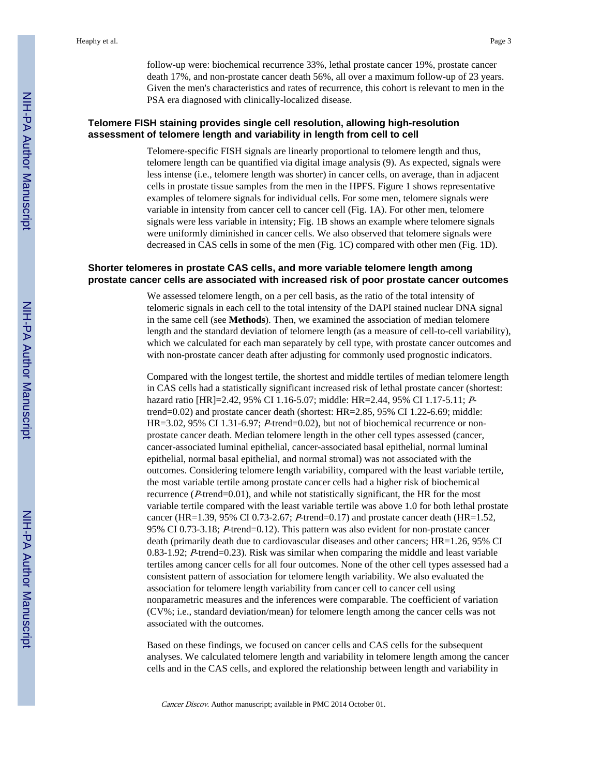follow-up were: biochemical recurrence 33%, lethal prostate cancer 19%, prostate cancer death 17%, and non-prostate cancer death 56%, all over a maximum follow-up of 23 years. Given the men's characteristics and rates of recurrence, this cohort is relevant to men in the PSA era diagnosed with clinically-localized disease.

#### **Telomere FISH staining provides single cell resolution, allowing high-resolution assessment of telomere length and variability in length from cell to cell**

Telomere-specific FISH signals are linearly proportional to telomere length and thus, telomere length can be quantified via digital image analysis (9). As expected, signals were less intense (i.e., telomere length was shorter) in cancer cells, on average, than in adjacent cells in prostate tissue samples from the men in the HPFS. Figure 1 shows representative examples of telomere signals for individual cells. For some men, telomere signals were variable in intensity from cancer cell to cancer cell (Fig. 1A). For other men, telomere signals were less variable in intensity; Fig. 1B shows an example where telomere signals were uniformly diminished in cancer cells. We also observed that telomere signals were decreased in CAS cells in some of the men (Fig. 1C) compared with other men (Fig. 1D).

#### **Shorter telomeres in prostate CAS cells, and more variable telomere length among prostate cancer cells are associated with increased risk of poor prostate cancer outcomes**

We assessed telomere length, on a per cell basis, as the ratio of the total intensity of telomeric signals in each cell to the total intensity of the DAPI stained nuclear DNA signal in the same cell (see **Methods**). Then, we examined the association of median telomere length and the standard deviation of telomere length (as a measure of cell-to-cell variability), which we calculated for each man separately by cell type, with prostate cancer outcomes and with non-prostate cancer death after adjusting for commonly used prognostic indicators.

Compared with the longest tertile, the shortest and middle tertiles of median telomere length in CAS cells had a statistically significant increased risk of lethal prostate cancer (shortest: hazard ratio [HR]=2.42, 95% CI 1.16-5.07; middle: HR=2.44, 95% CI 1.17-5.11; Ptrend=0.02) and prostate cancer death (shortest: HR=2.85, 95% CI 1.22-6.69; middle: HR=3.02, 95% CI 1.31-6.97; P-trend=0.02), but not of biochemical recurrence or nonprostate cancer death. Median telomere length in the other cell types assessed (cancer, cancer-associated luminal epithelial, cancer-associated basal epithelial, normal luminal epithelial, normal basal epithelial, and normal stromal) was not associated with the outcomes. Considering telomere length variability, compared with the least variable tertile, the most variable tertile among prostate cancer cells had a higher risk of biochemical recurrence (P-trend=0.01), and while not statistically significant, the HR for the most variable tertile compared with the least variable tertile was above 1.0 for both lethal prostate cancer (HR=1.39, 95% CI 0.73-2.67; P-trend=0.17) and prostate cancer death (HR=1.52, 95% CI 0.73-3.18; P-trend=0.12). This pattern was also evident for non-prostate cancer death (primarily death due to cardiovascular diseases and other cancers; HR=1.26, 95% CI 0.83-1.92; P-trend=0.23). Risk was similar when comparing the middle and least variable tertiles among cancer cells for all four outcomes. None of the other cell types assessed had a consistent pattern of association for telomere length variability. We also evaluated the association for telomere length variability from cancer cell to cancer cell using nonparametric measures and the inferences were comparable. The coefficient of variation (CV%; i.e., standard deviation/mean) for telomere length among the cancer cells was not associated with the outcomes.

Based on these findings, we focused on cancer cells and CAS cells for the subsequent analyses. We calculated telomere length and variability in telomere length among the cancer cells and in the CAS cells, and explored the relationship between length and variability in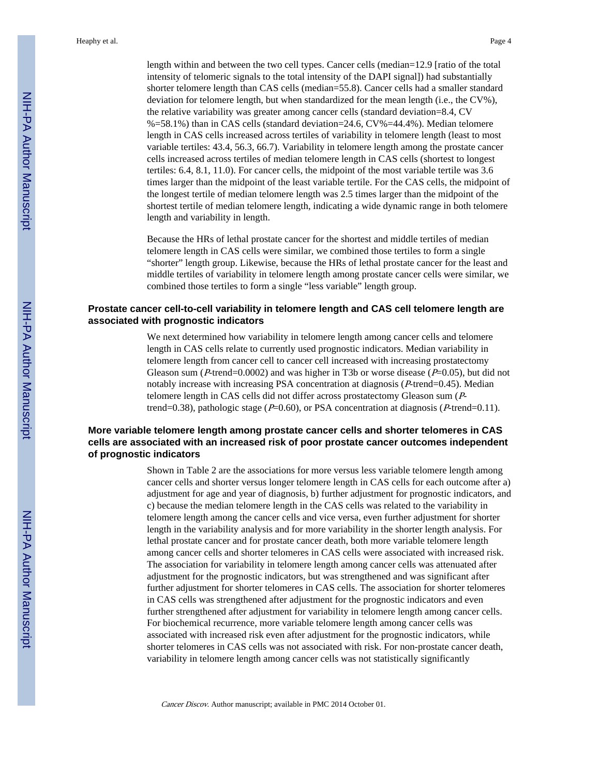length within and between the two cell types. Cancer cells (median=12.9 [ratio of the total intensity of telomeric signals to the total intensity of the DAPI signal]) had substantially shorter telomere length than CAS cells (median=55.8). Cancer cells had a smaller standard deviation for telomere length, but when standardized for the mean length (i.e., the CV%), the relative variability was greater among cancer cells (standard deviation=8.4, CV %=58.1%) than in CAS cells (standard deviation=24.6, CV%=44.4%). Median telomere length in CAS cells increased across tertiles of variability in telomere length (least to most variable tertiles: 43.4, 56.3, 66.7). Variability in telomere length among the prostate cancer cells increased across tertiles of median telomere length in CAS cells (shortest to longest tertiles: 6.4, 8.1, 11.0). For cancer cells, the midpoint of the most variable tertile was 3.6 times larger than the midpoint of the least variable tertile. For the CAS cells, the midpoint of the longest tertile of median telomere length was 2.5 times larger than the midpoint of the shortest tertile of median telomere length, indicating a wide dynamic range in both telomere length and variability in length.

Because the HRs of lethal prostate cancer for the shortest and middle tertiles of median telomere length in CAS cells were similar, we combined those tertiles to form a single "shorter" length group. Likewise, because the HRs of lethal prostate cancer for the least and middle tertiles of variability in telomere length among prostate cancer cells were similar, we combined those tertiles to form a single "less variable" length group.

#### **Prostate cancer cell-to-cell variability in telomere length and CAS cell telomere length are associated with prognostic indicators**

We next determined how variability in telomere length among cancer cells and telomere length in CAS cells relate to currently used prognostic indicators. Median variability in telomere length from cancer cell to cancer cell increased with increasing prostatectomy Gleason sum ( $P$ -trend=0.0002) and was higher in T3b or worse disease ( $P=0.05$ ), but did not notably increase with increasing PSA concentration at diagnosis (P-trend=0.45). Median telomere length in CAS cells did not differ across prostatectomy Gleason sum (Ptrend=0.38), pathologic stage ( $P=0.60$ ), or PSA concentration at diagnosis ( $P$ -trend=0.11).

#### **More variable telomere length among prostate cancer cells and shorter telomeres in CAS cells are associated with an increased risk of poor prostate cancer outcomes independent of prognostic indicators**

Shown in Table 2 are the associations for more versus less variable telomere length among cancer cells and shorter versus longer telomere length in CAS cells for each outcome after a) adjustment for age and year of diagnosis, b) further adjustment for prognostic indicators, and c) because the median telomere length in the CAS cells was related to the variability in telomere length among the cancer cells and vice versa, even further adjustment for shorter length in the variability analysis and for more variability in the shorter length analysis. For lethal prostate cancer and for prostate cancer death, both more variable telomere length among cancer cells and shorter telomeres in CAS cells were associated with increased risk. The association for variability in telomere length among cancer cells was attenuated after adjustment for the prognostic indicators, but was strengthened and was significant after further adjustment for shorter telomeres in CAS cells. The association for shorter telomeres in CAS cells was strengthened after adjustment for the prognostic indicators and even further strengthened after adjustment for variability in telomere length among cancer cells. For biochemical recurrence, more variable telomere length among cancer cells was associated with increased risk even after adjustment for the prognostic indicators, while shorter telomeres in CAS cells was not associated with risk. For non-prostate cancer death, variability in telomere length among cancer cells was not statistically significantly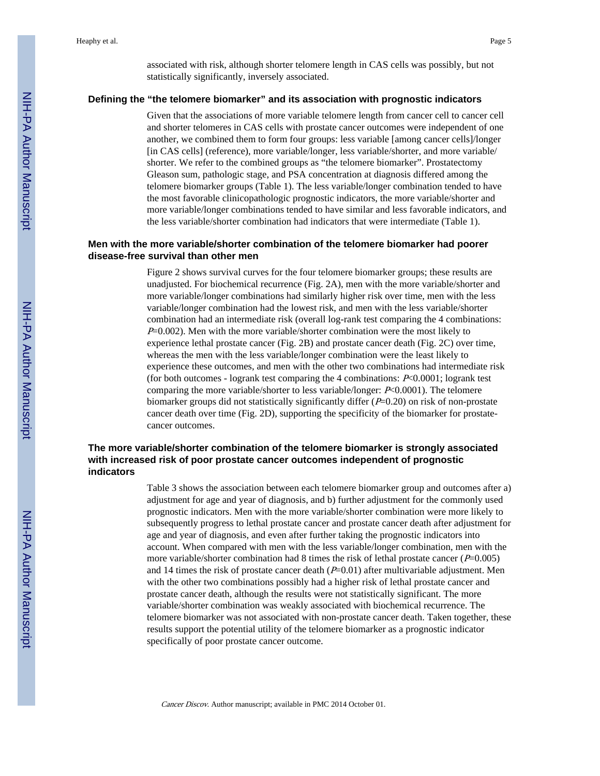associated with risk, although shorter telomere length in CAS cells was possibly, but not statistically significantly, inversely associated.

#### **Defining the "the telomere biomarker" and its association with prognostic indicators**

Given that the associations of more variable telomere length from cancer cell to cancer cell and shorter telomeres in CAS cells with prostate cancer outcomes were independent of one another, we combined them to form four groups: less variable [among cancer cells]/longer [in CAS cells] (reference), more variable/longer, less variable/shorter, and more variable/ shorter. We refer to the combined groups as "the telomere biomarker". Prostatectomy Gleason sum, pathologic stage, and PSA concentration at diagnosis differed among the telomere biomarker groups (Table 1). The less variable/longer combination tended to have the most favorable clinicopathologic prognostic indicators, the more variable/shorter and more variable/longer combinations tended to have similar and less favorable indicators, and the less variable/shorter combination had indicators that were intermediate (Table 1).

#### **Men with the more variable/shorter combination of the telomere biomarker had poorer disease-free survival than other men**

Figure 2 shows survival curves for the four telomere biomarker groups; these results are unadjusted. For biochemical recurrence (Fig. 2A), men with the more variable/shorter and more variable/longer combinations had similarly higher risk over time, men with the less variable/longer combination had the lowest risk, and men with the less variable/shorter combination had an intermediate risk (overall log-rank test comparing the 4 combinations:  $P=0.002$ ). Men with the more variable/shorter combination were the most likely to experience lethal prostate cancer (Fig. 2B) and prostate cancer death (Fig. 2C) over time, whereas the men with the less variable/longer combination were the least likely to experience these outcomes, and men with the other two combinations had intermediate risk (for both outcomes - logrank test comparing the 4 combinations:  $P<0.0001$ ; logrank test comparing the more variable/shorter to less variable/longer: P<0.0001). The telomere biomarker groups did not statistically significantly differ  $(P=0.20)$  on risk of non-prostate cancer death over time (Fig. 2D), supporting the specificity of the biomarker for prostatecancer outcomes.

#### **The more variable/shorter combination of the telomere biomarker is strongly associated with increased risk of poor prostate cancer outcomes independent of prognostic indicators**

Table 3 shows the association between each telomere biomarker group and outcomes after a) adjustment for age and year of diagnosis, and b) further adjustment for the commonly used prognostic indicators. Men with the more variable/shorter combination were more likely to subsequently progress to lethal prostate cancer and prostate cancer death after adjustment for age and year of diagnosis, and even after further taking the prognostic indicators into account. When compared with men with the less variable/longer combination, men with the more variable/shorter combination had 8 times the risk of lethal prostate cancer ( $P=0.005$ ) and 14 times the risk of prostate cancer death  $(P=0.01)$  after multivariable adjustment. Men with the other two combinations possibly had a higher risk of lethal prostate cancer and prostate cancer death, although the results were not statistically significant. The more variable/shorter combination was weakly associated with biochemical recurrence. The telomere biomarker was not associated with non-prostate cancer death. Taken together, these results support the potential utility of the telomere biomarker as a prognostic indicator specifically of poor prostate cancer outcome.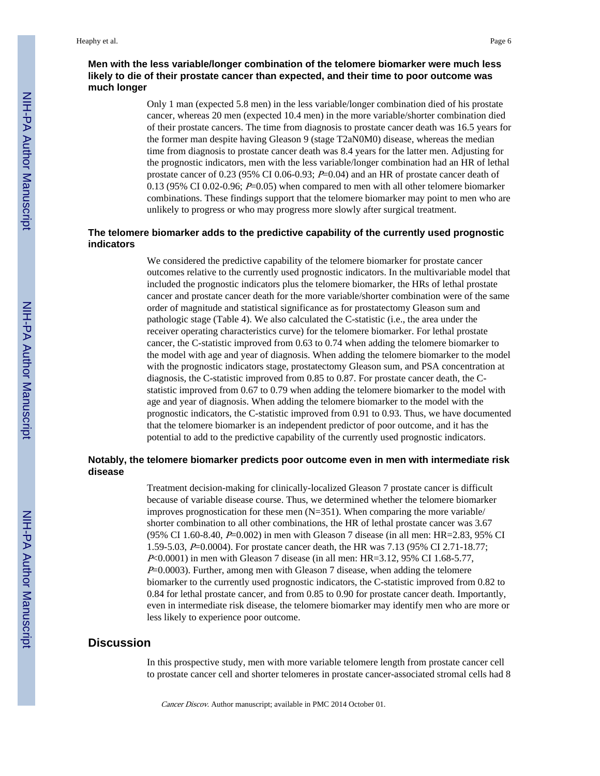#### **Men with the less variable/longer combination of the telomere biomarker were much less likely to die of their prostate cancer than expected, and their time to poor outcome was much longer**

Only 1 man (expected 5.8 men) in the less variable/longer combination died of his prostate cancer, whereas 20 men (expected 10.4 men) in the more variable/shorter combination died of their prostate cancers. The time from diagnosis to prostate cancer death was 16.5 years for the former man despite having Gleason 9 (stage T2aN0M0) disease, whereas the median time from diagnosis to prostate cancer death was 8.4 years for the latter men. Adjusting for the prognostic indicators, men with the less variable/longer combination had an HR of lethal prostate cancer of 0.23 (95% CI 0.06-0.93;  $P=0.04$ ) and an HR of prostate cancer death of 0.13 (95% CI 0.02-0.96;  $P=0.05$ ) when compared to men with all other telomere biomarker combinations. These findings support that the telomere biomarker may point to men who are unlikely to progress or who may progress more slowly after surgical treatment.

#### **The telomere biomarker adds to the predictive capability of the currently used prognostic indicators**

We considered the predictive capability of the telomere biomarker for prostate cancer outcomes relative to the currently used prognostic indicators. In the multivariable model that included the prognostic indicators plus the telomere biomarker, the HRs of lethal prostate cancer and prostate cancer death for the more variable/shorter combination were of the same order of magnitude and statistical significance as for prostatectomy Gleason sum and pathologic stage (Table 4). We also calculated the C-statistic (i.e., the area under the receiver operating characteristics curve) for the telomere biomarker. For lethal prostate cancer, the C-statistic improved from 0.63 to 0.74 when adding the telomere biomarker to the model with age and year of diagnosis. When adding the telomere biomarker to the model with the prognostic indicators stage, prostatectomy Gleason sum, and PSA concentration at diagnosis, the C-statistic improved from 0.85 to 0.87. For prostate cancer death, the Cstatistic improved from 0.67 to 0.79 when adding the telomere biomarker to the model with age and year of diagnosis. When adding the telomere biomarker to the model with the prognostic indicators, the C-statistic improved from 0.91 to 0.93. Thus, we have documented that the telomere biomarker is an independent predictor of poor outcome, and it has the potential to add to the predictive capability of the currently used prognostic indicators.

#### **Notably, the telomere biomarker predicts poor outcome even in men with intermediate risk disease**

Treatment decision-making for clinically-localized Gleason 7 prostate cancer is difficult because of variable disease course. Thus, we determined whether the telomere biomarker improves prognostication for these men  $(N=351)$ . When comparing the more variable/ shorter combination to all other combinations, the HR of lethal prostate cancer was 3.67 (95% CI 1.60-8.40, P=0.002) in men with Gleason 7 disease (in all men: HR=2.83, 95% CI 1.59-5.03, P=0.0004). For prostate cancer death, the HR was 7.13 (95% CI 2.71-18.77; <sup>P</sup><0.0001) in men with Gleason 7 disease (in all men: HR=3.12, 95% CI 1.68-5.77, P=0.0003). Further, among men with Gleason 7 disease, when adding the telomere biomarker to the currently used prognostic indicators, the C-statistic improved from 0.82 to 0.84 for lethal prostate cancer, and from 0.85 to 0.90 for prostate cancer death. Importantly, even in intermediate risk disease, the telomere biomarker may identify men who are more or less likely to experience poor outcome.

#### **Discussion**

In this prospective study, men with more variable telomere length from prostate cancer cell to prostate cancer cell and shorter telomeres in prostate cancer-associated stromal cells had 8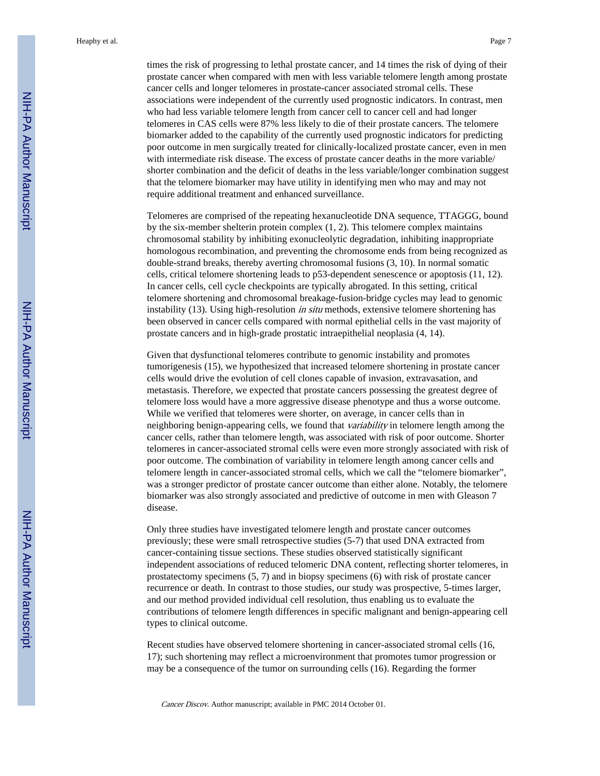times the risk of progressing to lethal prostate cancer, and 14 times the risk of dying of their prostate cancer when compared with men with less variable telomere length among prostate cancer cells and longer telomeres in prostate-cancer associated stromal cells. These associations were independent of the currently used prognostic indicators. In contrast, men who had less variable telomere length from cancer cell to cancer cell and had longer telomeres in CAS cells were 87% less likely to die of their prostate cancers. The telomere biomarker added to the capability of the currently used prognostic indicators for predicting poor outcome in men surgically treated for clinically-localized prostate cancer, even in men with intermediate risk disease. The excess of prostate cancer deaths in the more variable/ shorter combination and the deficit of deaths in the less variable/longer combination suggest that the telomere biomarker may have utility in identifying men who may and may not require additional treatment and enhanced surveillance.

Telomeres are comprised of the repeating hexanucleotide DNA sequence, TTAGGG, bound by the six-member shelterin protein complex (1, 2). This telomere complex maintains chromosomal stability by inhibiting exonucleolytic degradation, inhibiting inappropriate homologous recombination, and preventing the chromosome ends from being recognized as double-strand breaks, thereby averting chromosomal fusions (3, 10). In normal somatic cells, critical telomere shortening leads to p53-dependent senescence or apoptosis (11, 12). In cancer cells, cell cycle checkpoints are typically abrogated. In this setting, critical telomere shortening and chromosomal breakage-fusion-bridge cycles may lead to genomic instability (13). Using high-resolution *in situ* methods, extensive telomere shortening has been observed in cancer cells compared with normal epithelial cells in the vast majority of prostate cancers and in high-grade prostatic intraepithelial neoplasia (4, 14).

Given that dysfunctional telomeres contribute to genomic instability and promotes tumorigenesis (15), we hypothesized that increased telomere shortening in prostate cancer cells would drive the evolution of cell clones capable of invasion, extravasation, and metastasis. Therefore, we expected that prostate cancers possessing the greatest degree of telomere loss would have a more aggressive disease phenotype and thus a worse outcome. While we verified that telomeres were shorter, on average, in cancer cells than in neighboring benign-appearing cells, we found that *variability* in telomere length among the cancer cells, rather than telomere length, was associated with risk of poor outcome. Shorter telomeres in cancer-associated stromal cells were even more strongly associated with risk of poor outcome. The combination of variability in telomere length among cancer cells and telomere length in cancer-associated stromal cells, which we call the "telomere biomarker", was a stronger predictor of prostate cancer outcome than either alone. Notably, the telomere biomarker was also strongly associated and predictive of outcome in men with Gleason 7 disease.

Only three studies have investigated telomere length and prostate cancer outcomes previously; these were small retrospective studies (5-7) that used DNA extracted from cancer-containing tissue sections. These studies observed statistically significant independent associations of reduced telomeric DNA content, reflecting shorter telomeres, in prostatectomy specimens (5, 7) and in biopsy specimens (6) with risk of prostate cancer recurrence or death. In contrast to those studies, our study was prospective, 5-times larger, and our method provided individual cell resolution, thus enabling us to evaluate the contributions of telomere length differences in specific malignant and benign-appearing cell types to clinical outcome.

Recent studies have observed telomere shortening in cancer-associated stromal cells (16, 17); such shortening may reflect a microenvironment that promotes tumor progression or may be a consequence of the tumor on surrounding cells (16). Regarding the former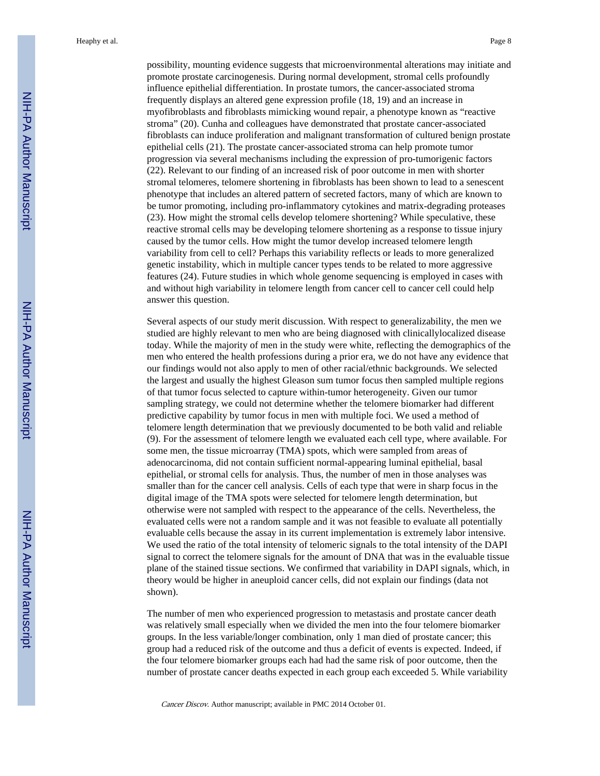possibility, mounting evidence suggests that microenvironmental alterations may initiate and promote prostate carcinogenesis. During normal development, stromal cells profoundly influence epithelial differentiation. In prostate tumors, the cancer-associated stroma frequently displays an altered gene expression profile (18, 19) and an increase in myofibroblasts and fibroblasts mimicking wound repair, a phenotype known as "reactive stroma" (20). Cunha and colleagues have demonstrated that prostate cancer-associated fibroblasts can induce proliferation and malignant transformation of cultured benign prostate epithelial cells (21). The prostate cancer-associated stroma can help promote tumor progression via several mechanisms including the expression of pro-tumorigenic factors (22). Relevant to our finding of an increased risk of poor outcome in men with shorter stromal telomeres, telomere shortening in fibroblasts has been shown to lead to a senescent phenotype that includes an altered pattern of secreted factors, many of which are known to be tumor promoting, including pro-inflammatory cytokines and matrix-degrading proteases (23). How might the stromal cells develop telomere shortening? While speculative, these reactive stromal cells may be developing telomere shortening as a response to tissue injury caused by the tumor cells. How might the tumor develop increased telomere length variability from cell to cell? Perhaps this variability reflects or leads to more generalized genetic instability, which in multiple cancer types tends to be related to more aggressive features (24). Future studies in which whole genome sequencing is employed in cases with and without high variability in telomere length from cancer cell to cancer cell could help answer this question.

Several aspects of our study merit discussion. With respect to generalizability, the men we studied are highly relevant to men who are being diagnosed with clinicallylocalized disease today. While the majority of men in the study were white, reflecting the demographics of the men who entered the health professions during a prior era, we do not have any evidence that our findings would not also apply to men of other racial/ethnic backgrounds. We selected the largest and usually the highest Gleason sum tumor focus then sampled multiple regions of that tumor focus selected to capture within-tumor heterogeneity. Given our tumor sampling strategy, we could not determine whether the telomere biomarker had different predictive capability by tumor focus in men with multiple foci. We used a method of telomere length determination that we previously documented to be both valid and reliable (9). For the assessment of telomere length we evaluated each cell type, where available. For some men, the tissue microarray (TMA) spots, which were sampled from areas of adenocarcinoma, did not contain sufficient normal-appearing luminal epithelial, basal epithelial, or stromal cells for analysis. Thus, the number of men in those analyses was smaller than for the cancer cell analysis. Cells of each type that were in sharp focus in the digital image of the TMA spots were selected for telomere length determination, but otherwise were not sampled with respect to the appearance of the cells. Nevertheless, the evaluated cells were not a random sample and it was not feasible to evaluate all potentially evaluable cells because the assay in its current implementation is extremely labor intensive. We used the ratio of the total intensity of telomeric signals to the total intensity of the DAPI signal to correct the telomere signals for the amount of DNA that was in the evaluable tissue plane of the stained tissue sections. We confirmed that variability in DAPI signals, which, in theory would be higher in aneuploid cancer cells, did not explain our findings (data not shown).

The number of men who experienced progression to metastasis and prostate cancer death was relatively small especially when we divided the men into the four telomere biomarker groups. In the less variable/longer combination, only 1 man died of prostate cancer; this group had a reduced risk of the outcome and thus a deficit of events is expected. Indeed, if the four telomere biomarker groups each had had the same risk of poor outcome, then the number of prostate cancer deaths expected in each group each exceeded 5. While variability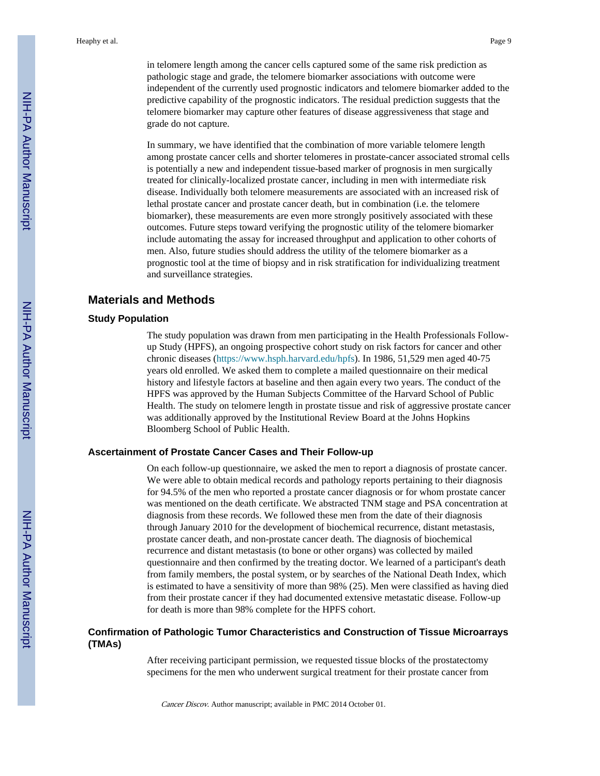in telomere length among the cancer cells captured some of the same risk prediction as pathologic stage and grade, the telomere biomarker associations with outcome were independent of the currently used prognostic indicators and telomere biomarker added to the predictive capability of the prognostic indicators. The residual prediction suggests that the telomere biomarker may capture other features of disease aggressiveness that stage and grade do not capture.

In summary, we have identified that the combination of more variable telomere length among prostate cancer cells and shorter telomeres in prostate-cancer associated stromal cells is potentially a new and independent tissue-based marker of prognosis in men surgically treated for clinically-localized prostate cancer, including in men with intermediate risk disease. Individually both telomere measurements are associated with an increased risk of lethal prostate cancer and prostate cancer death, but in combination (i.e. the telomere biomarker), these measurements are even more strongly positively associated with these outcomes. Future steps toward verifying the prognostic utility of the telomere biomarker include automating the assay for increased throughput and application to other cohorts of men. Also, future studies should address the utility of the telomere biomarker as a prognostic tool at the time of biopsy and in risk stratification for individualizing treatment and surveillance strategies.

#### **Materials and Methods**

#### **Study Population**

The study population was drawn from men participating in the Health Professionals Followup Study (HPFS), an ongoing prospective cohort study on risk factors for cancer and other chronic diseases [\(https://www.hsph.harvard.edu/hpfs\)](https://www.hsph.harvard.edu/hpfs). In 1986, 51,529 men aged 40-75 years old enrolled. We asked them to complete a mailed questionnaire on their medical history and lifestyle factors at baseline and then again every two years. The conduct of the HPFS was approved by the Human Subjects Committee of the Harvard School of Public Health. The study on telomere length in prostate tissue and risk of aggressive prostate cancer was additionally approved by the Institutional Review Board at the Johns Hopkins Bloomberg School of Public Health.

#### **Ascertainment of Prostate Cancer Cases and Their Follow-up**

On each follow-up questionnaire, we asked the men to report a diagnosis of prostate cancer. We were able to obtain medical records and pathology reports pertaining to their diagnosis for 94.5% of the men who reported a prostate cancer diagnosis or for whom prostate cancer was mentioned on the death certificate. We abstracted TNM stage and PSA concentration at diagnosis from these records. We followed these men from the date of their diagnosis through January 2010 for the development of biochemical recurrence, distant metastasis, prostate cancer death, and non-prostate cancer death. The diagnosis of biochemical recurrence and distant metastasis (to bone or other organs) was collected by mailed questionnaire and then confirmed by the treating doctor. We learned of a participant's death from family members, the postal system, or by searches of the National Death Index, which is estimated to have a sensitivity of more than 98% (25). Men were classified as having died from their prostate cancer if they had documented extensive metastatic disease. Follow-up for death is more than 98% complete for the HPFS cohort.

#### **Confirmation of Pathologic Tumor Characteristics and Construction of Tissue Microarrays (TMAs)**

After receiving participant permission, we requested tissue blocks of the prostatectomy specimens for the men who underwent surgical treatment for their prostate cancer from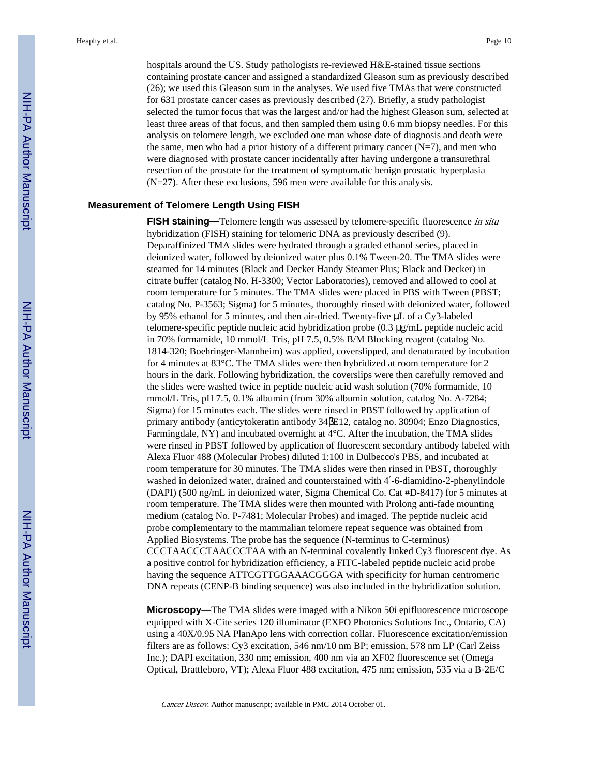hospitals around the US. Study pathologists re-reviewed H&E-stained tissue sections containing prostate cancer and assigned a standardized Gleason sum as previously described (26); we used this Gleason sum in the analyses. We used five TMAs that were constructed for 631 prostate cancer cases as previously described (27). Briefly, a study pathologist selected the tumor focus that was the largest and/or had the highest Gleason sum, selected at least three areas of that focus, and then sampled them using 0.6 mm biopsy needles. For this analysis on telomere length, we excluded one man whose date of diagnosis and death were the same, men who had a prior history of a different primary cancer  $(N=7)$ , and men who were diagnosed with prostate cancer incidentally after having undergone a transurethral resection of the prostate for the treatment of symptomatic benign prostatic hyperplasia (N=27). After these exclusions, 596 men were available for this analysis.

#### **Measurement of Telomere Length Using FISH**

**FISH staining—**Telomere length was assessed by telomere-specific fluorescence in situ hybridization (FISH) staining for telomeric DNA as previously described (9). Deparaffinized TMA slides were hydrated through a graded ethanol series, placed in deionized water, followed by deionized water plus 0.1% Tween-20. The TMA slides were steamed for 14 minutes (Black and Decker Handy Steamer Plus; Black and Decker) in citrate buffer (catalog No. H-3300; Vector Laboratories), removed and allowed to cool at room temperature for 5 minutes. The TMA slides were placed in PBS with Tween (PBST; catalog No. P-3563; Sigma) for 5 minutes, thoroughly rinsed with deionized water, followed by 95% ethanol for 5 minutes, and then air-dried. Twenty-five μL of a Cy3-labeled telomere-specific peptide nucleic acid hybridization probe (0.3 μg/mL peptide nucleic acid in 70% formamide, 10 mmol/L Tris, pH 7.5, 0.5% B/M Blocking reagent (catalog No. 1814-320; Boehringer-Mannheim) was applied, coverslipped, and denaturated by incubation for 4 minutes at 83°C. The TMA slides were then hybridized at room temperature for 2 hours in the dark. Following hybridization, the coverslips were then carefully removed and the slides were washed twice in peptide nucleic acid wash solution (70% formamide, 10 mmol/L Tris, pH 7.5, 0.1% albumin (from 30% albumin solution, catalog No. A-7284; Sigma) for 15 minutes each. The slides were rinsed in PBST followed by application of primary antibody (anticytokeratin antibody 34 E12, catalog no. 30904; Enzo Diagnostics, Farmingdale, NY) and incubated overnight at 4°C. After the incubation, the TMA slides were rinsed in PBST followed by application of fluorescent secondary antibody labeled with Alexa Fluor 488 (Molecular Probes) diluted 1:100 in Dulbecco's PBS, and incubated at room temperature for 30 minutes. The TMA slides were then rinsed in PBST, thoroughly washed in deionized water, drained and counterstained with 4-6-diamidino-2-phenylindole (DAPI) (500 ng/mL in deionized water, Sigma Chemical Co. Cat #D-8417) for 5 minutes at room temperature. The TMA slides were then mounted with Prolong anti-fade mounting medium (catalog No. P-7481; Molecular Probes) and imaged. The peptide nucleic acid probe complementary to the mammalian telomere repeat sequence was obtained from Applied Biosystems. The probe has the sequence (N-terminus to C-terminus) CCCTAACCCTAACCCTAA with an N-terminal covalently linked Cy3 fluorescent dye. As a positive control for hybridization efficiency, a FITC-labeled peptide nucleic acid probe having the sequence ATTCGTTGGAAACGGGA with specificity for human centromeric DNA repeats (CENP-B binding sequence) was also included in the hybridization solution.

**Microscopy—**The TMA slides were imaged with a Nikon 50i epifluorescence microscope equipped with X-Cite series 120 illuminator (EXFO Photonics Solutions Inc., Ontario, CA) using a 40X/0.95 NA PlanApo lens with correction collar. Fluorescence excitation/emission filters are as follows: Cy3 excitation, 546 nm/10 nm BP; emission, 578 nm LP (Carl Zeiss Inc.); DAPI excitation, 330 nm; emission, 400 nm via an XF02 fluorescence set (Omega Optical, Brattleboro, VT); Alexa Fluor 488 excitation, 475 nm; emission, 535 via a B-2E/C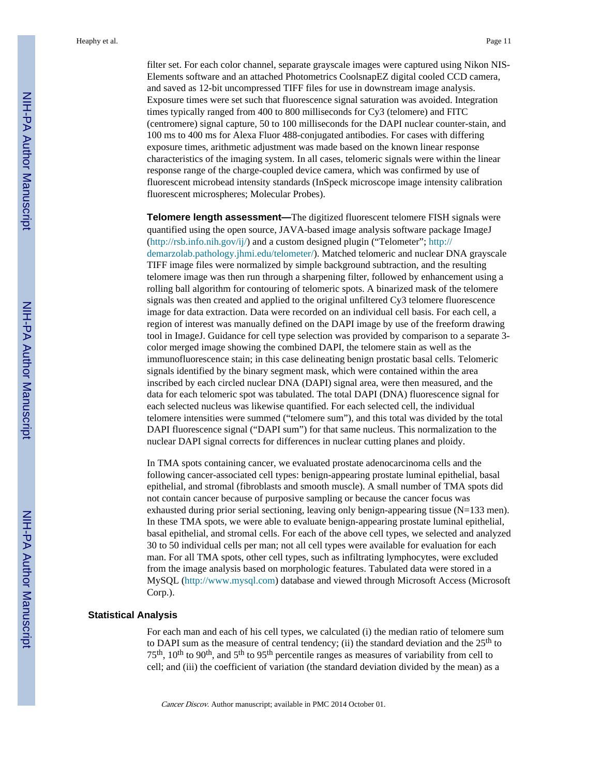filter set. For each color channel, separate grayscale images were captured using Nikon NIS-Elements software and an attached Photometrics CoolsnapEZ digital cooled CCD camera, and saved as 12-bit uncompressed TIFF files for use in downstream image analysis. Exposure times were set such that fluorescence signal saturation was avoided. Integration times typically ranged from 400 to 800 milliseconds for Cy3 (telomere) and FITC (centromere) signal capture, 50 to 100 milliseconds for the DAPI nuclear counter-stain, and 100 ms to 400 ms for Alexa Fluor 488-conjugated antibodies. For cases with differing exposure times, arithmetic adjustment was made based on the known linear response characteristics of the imaging system. In all cases, telomeric signals were within the linear response range of the charge-coupled device camera, which was confirmed by use of fluorescent microbead intensity standards (InSpeck microscope image intensity calibration fluorescent microspheres; Molecular Probes).

**Telomere length assessment—**The digitized fluorescent telomere FISH signals were quantified using the open source, JAVA-based image analysis software package ImageJ [\(http://rsb.info.nih.gov/ij/\)](http://rsb.info.nih.gov/ij/) and a custom designed plugin ("Telometer"; [http://](http://demarzolab.pathology.jhmi.edu/telometer/) [demarzolab.pathology.jhmi.edu/telometer/](http://demarzolab.pathology.jhmi.edu/telometer/)). Matched telomeric and nuclear DNA grayscale TIFF image files were normalized by simple background subtraction, and the resulting telomere image was then run through a sharpening filter, followed by enhancement using a rolling ball algorithm for contouring of telomeric spots. A binarized mask of the telomere signals was then created and applied to the original unfiltered Cy3 telomere fluorescence image for data extraction. Data were recorded on an individual cell basis. For each cell, a region of interest was manually defined on the DAPI image by use of the freeform drawing tool in ImageJ. Guidance for cell type selection was provided by comparison to a separate 3 color merged image showing the combined DAPI, the telomere stain as well as the immunofluorescence stain; in this case delineating benign prostatic basal cells. Telomeric signals identified by the binary segment mask, which were contained within the area inscribed by each circled nuclear DNA (DAPI) signal area, were then measured, and the data for each telomeric spot was tabulated. The total DAPI (DNA) fluorescence signal for each selected nucleus was likewise quantified. For each selected cell, the individual telomere intensities were summed ("telomere sum"), and this total was divided by the total DAPI fluorescence signal ("DAPI sum") for that same nucleus. This normalization to the nuclear DAPI signal corrects for differences in nuclear cutting planes and ploidy.

In TMA spots containing cancer, we evaluated prostate adenocarcinoma cells and the following cancer-associated cell types: benign-appearing prostate luminal epithelial, basal epithelial, and stromal (fibroblasts and smooth muscle). A small number of TMA spots did not contain cancer because of purposive sampling or because the cancer focus was exhausted during prior serial sectioning, leaving only benign-appearing tissue (N=133 men). In these TMA spots, we were able to evaluate benign-appearing prostate luminal epithelial, basal epithelial, and stromal cells. For each of the above cell types, we selected and analyzed 30 to 50 individual cells per man; not all cell types were available for evaluation for each man. For all TMA spots, other cell types, such as infiltrating lymphocytes, were excluded from the image analysis based on morphologic features. Tabulated data were stored in a MySQL ([http://www.mysql.com\)](http://www.mysql.com) database and viewed through Microsoft Access (Microsoft Corp.).

#### **Statistical Analysis**

For each man and each of his cell types, we calculated (i) the median ratio of telomere sum to DAPI sum as the measure of central tendency; (ii) the standard deviation and the  $25<sup>th</sup>$  to 75th, 10th to 90th, and 5th to 95th percentile ranges as measures of variability from cell to cell; and (iii) the coefficient of variation (the standard deviation divided by the mean) as a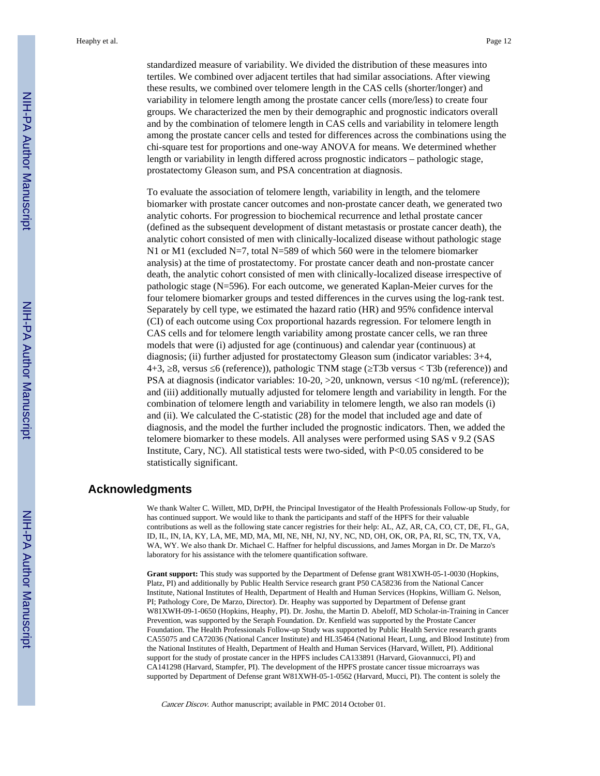standardized measure of variability. We divided the distribution of these measures into tertiles. We combined over adjacent tertiles that had similar associations. After viewing these results, we combined over telomere length in the CAS cells (shorter/longer) and variability in telomere length among the prostate cancer cells (more/less) to create four groups. We characterized the men by their demographic and prognostic indicators overall and by the combination of telomere length in CAS cells and variability in telomere length among the prostate cancer cells and tested for differences across the combinations using the chi-square test for proportions and one-way ANOVA for means. We determined whether length or variability in length differed across prognostic indicators – pathologic stage, prostatectomy Gleason sum, and PSA concentration at diagnosis.

To evaluate the association of telomere length, variability in length, and the telomere biomarker with prostate cancer outcomes and non-prostate cancer death, we generated two analytic cohorts. For progression to biochemical recurrence and lethal prostate cancer (defined as the subsequent development of distant metastasis or prostate cancer death), the analytic cohort consisted of men with clinically-localized disease without pathologic stage N1 or M1 (excluded N=7, total N=589 of which 560 were in the telomere biomarker analysis) at the time of prostatectomy. For prostate cancer death and non-prostate cancer death, the analytic cohort consisted of men with clinically-localized disease irrespective of pathologic stage (N=596). For each outcome, we generated Kaplan-Meier curves for the four telomere biomarker groups and tested differences in the curves using the log-rank test. Separately by cell type, we estimated the hazard ratio (HR) and 95% confidence interval (CI) of each outcome using Cox proportional hazards regression. For telomere length in CAS cells and for telomere length variability among prostate cancer cells, we ran three models that were (i) adjusted for age (continuous) and calendar year (continuous) at diagnosis; (ii) further adjusted for prostatectomy Gleason sum (indicator variables: 3+4, 4+3, 8, versus 6 (reference)), pathologic TNM stage (T3b versus < T3b (reference)) and PSA at diagnosis (indicator variables: 10-20, >20, unknown, versus <10 ng/mL (reference)); and (iii) additionally mutually adjusted for telomere length and variability in length. For the combination of telomere length and variability in telomere length, we also ran models (i) and (ii). We calculated the C-statistic (28) for the model that included age and date of diagnosis, and the model the further included the prognostic indicators. Then, we added the telomere biomarker to these models. All analyses were performed using SAS v 9.2 (SAS Institute, Cary, NC). All statistical tests were two-sided, with P<0.05 considered to be statistically significant.

#### **Acknowledgments**

We thank Walter C. Willett, MD, DrPH, the Principal Investigator of the Health Professionals Follow-up Study, for has continued support. We would like to thank the participants and staff of the HPFS for their valuable contributions as well as the following state cancer registries for their help: AL, AZ, AR, CA, CO, CT, DE, FL, GA, ID, IL, IN, IA, KY, LA, ME, MD, MA, MI, NE, NH, NJ, NY, NC, ND, OH, OK, OR, PA, RI, SC, TN, TX, VA, WA, WY. We also thank Dr. Michael C. Haffner for helpful discussions, and James Morgan in Dr. De Marzo's laboratory for his assistance with the telomere quantification software.

**Grant support:** This study was supported by the Department of Defense grant W81XWH-05-1-0030 (Hopkins, Platz, PI) and additionally by Public Health Service research grant P50 CA58236 from the National Cancer Institute, National Institutes of Health, Department of Health and Human Services (Hopkins, William G. Nelson, PI; Pathology Core, De Marzo, Director). Dr. Heaphy was supported by Department of Defense grant W81XWH-09-1-0650 (Hopkins, Heaphy, PI). Dr. Joshu, the Martin D. Abeloff, MD Scholar-in-Training in Cancer Prevention, was supported by the Seraph Foundation. Dr. Kenfield was supported by the Prostate Cancer Foundation. The Health Professionals Follow-up Study was supported by Public Health Service research grants CA55075 and CA72036 (National Cancer Institute) and HL35464 (National Heart, Lung, and Blood Institute) from the National Institutes of Health, Department of Health and Human Services (Harvard, Willett, PI). Additional support for the study of prostate cancer in the HPFS includes CA133891 (Harvard, Giovannucci, PI) and CA141298 (Harvard, Stampfer, PI). The development of the HPFS prostate cancer tissue microarrays was supported by Department of Defense grant W81XWH-05-1-0562 (Harvard, Mucci, PI). The content is solely the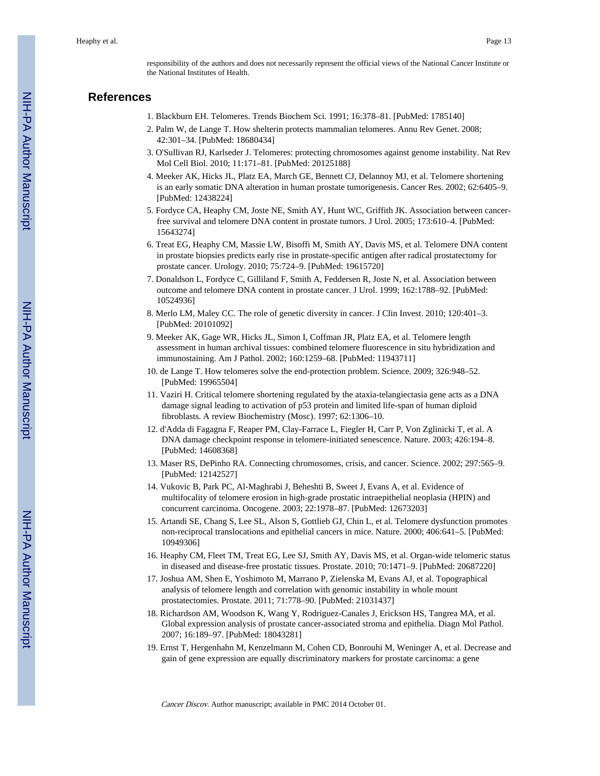responsibility of the authors and does not necessarily represent the official views of the National Cancer Institute or the National Institutes of Health.

#### **References**

- 1. Blackburn EH. Telomeres. Trends Biochem Sci. 1991; 16:378–81. [PubMed: 1785140]
- 2. Palm W, de Lange T. How shelterin protects mammalian telomeres. Annu Rev Genet. 2008; 42:301–34. [PubMed: 18680434]
- 3. O'Sullivan RJ, Karlseder J. Telomeres: protecting chromosomes against genome instability. Nat Rev Mol Cell Biol. 2010; 11:171–81. [PubMed: 20125188]
- 4. Meeker AK, Hicks JL, Platz EA, March GE, Bennett CJ, Delannoy MJ, et al. Telomere shortening is an early somatic DNA alteration in human prostate tumorigenesis. Cancer Res. 2002; 62:6405–9. [PubMed: 12438224]
- 5. Fordyce CA, Heaphy CM, Joste NE, Smith AY, Hunt WC, Griffith JK. Association between cancerfree survival and telomere DNA content in prostate tumors. J Urol. 2005; 173:610–4. [PubMed: 15643274]
- 6. Treat EG, Heaphy CM, Massie LW, Bisoffi M, Smith AY, Davis MS, et al. Telomere DNA content in prostate biopsies predicts early rise in prostate-specific antigen after radical prostatectomy for prostate cancer. Urology. 2010; 75:724–9. [PubMed: 19615720]
- 7. Donaldson L, Fordyce C, Gilliland F, Smith A, Feddersen R, Joste N, et al. Association between outcome and telomere DNA content in prostate cancer. J Urol. 1999; 162:1788–92. [PubMed: 10524936]
- 8. Merlo LM, Maley CC. The role of genetic diversity in cancer. J Clin Invest. 2010; 120:401–3. [PubMed: 20101092]
- 9. Meeker AK, Gage WR, Hicks JL, Simon I, Coffman JR, Platz EA, et al. Telomere length assessment in human archival tissues: combined telomere fluorescence in situ hybridization and immunostaining. Am J Pathol. 2002; 160:1259–68. [PubMed: 11943711]
- 10. de Lange T. How telomeres solve the end-protection problem. Science. 2009; 326:948–52. [PubMed: 19965504]
- 11. Vaziri H. Critical telomere shortening regulated by the ataxia-telangiectasia gene acts as a DNA damage signal leading to activation of p53 protein and limited life-span of human diploid fibroblasts. A review Biochemistry (Mosc). 1997; 62:1306–10.
- 12. d'Adda di Fagagna F, Reaper PM, Clay-Farrace L, Fiegler H, Carr P, Von Zglinicki T, et al. A DNA damage checkpoint response in telomere-initiated senescence. Nature. 2003; 426:194–8. [PubMed: 14608368]
- 13. Maser RS, DePinho RA. Connecting chromosomes, crisis, and cancer. Science. 2002; 297:565–9. [PubMed: 12142527]
- 14. Vukovic B, Park PC, Al-Maghrabi J, Beheshti B, Sweet J, Evans A, et al. Evidence of multifocality of telomere erosion in high-grade prostatic intraepithelial neoplasia (HPIN) and concurrent carcinoma. Oncogene. 2003; 22:1978–87. [PubMed: 12673203]
- 15. Artandi SE, Chang S, Lee SL, Alson S, Gottlieb GJ, Chin L, et al. Telomere dysfunction promotes non-reciprocal translocations and epithelial cancers in mice. Nature. 2000; 406:641–5. [PubMed: 10949306]
- 16. Heaphy CM, Fleet TM, Treat EG, Lee SJ, Smith AY, Davis MS, et al. Organ-wide telomeric status in diseased and disease-free prostatic tissues. Prostate. 2010; 70:1471–9. [PubMed: 20687220]
- 17. Joshua AM, Shen E, Yoshimoto M, Marrano P, Zielenska M, Evans AJ, et al. Topographical analysis of telomere length and correlation with genomic instability in whole mount prostatectomies. Prostate. 2011; 71:778–90. [PubMed: 21031437]
- 18. Richardson AM, Woodson K, Wang Y, Rodriguez-Canales J, Erickson HS, Tangrea MA, et al. Global expression analysis of prostate cancer-associated stroma and epithelia. Diagn Mol Pathol. 2007; 16:189–97. [PubMed: 18043281]
- 19. Ernst T, Hergenhahn M, Kenzelmann M, Cohen CD, Bonrouhi M, Weninger A, et al. Decrease and gain of gene expression are equally discriminatory markers for prostate carcinoma: a gene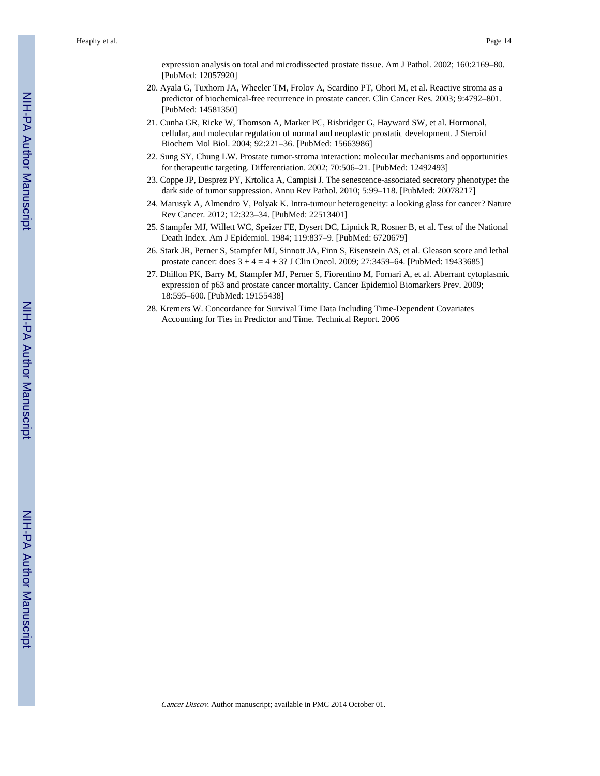expression analysis on total and microdissected prostate tissue. Am J Pathol. 2002; 160:2169–80. [PubMed: 12057920]

- 20. Ayala G, Tuxhorn JA, Wheeler TM, Frolov A, Scardino PT, Ohori M, et al. Reactive stroma as a predictor of biochemical-free recurrence in prostate cancer. Clin Cancer Res. 2003; 9:4792–801. [PubMed: 14581350]
- 21. Cunha GR, Ricke W, Thomson A, Marker PC, Risbridger G, Hayward SW, et al. Hormonal, cellular, and molecular regulation of normal and neoplastic prostatic development. J Steroid Biochem Mol Biol. 2004; 92:221–36. [PubMed: 15663986]
- 22. Sung SY, Chung LW. Prostate tumor-stroma interaction: molecular mechanisms and opportunities for therapeutic targeting. Differentiation. 2002; 70:506–21. [PubMed: 12492493]
- 23. Coppe JP, Desprez PY, Krtolica A, Campisi J. The senescence-associated secretory phenotype: the dark side of tumor suppression. Annu Rev Pathol. 2010; 5:99–118. [PubMed: 20078217]
- 24. Marusyk A, Almendro V, Polyak K. Intra-tumour heterogeneity: a looking glass for cancer? Nature Rev Cancer. 2012; 12:323–34. [PubMed: 22513401]
- 25. Stampfer MJ, Willett WC, Speizer FE, Dysert DC, Lipnick R, Rosner B, et al. Test of the National Death Index. Am J Epidemiol. 1984; 119:837–9. [PubMed: 6720679]
- 26. Stark JR, Perner S, Stampfer MJ, Sinnott JA, Finn S, Eisenstein AS, et al. Gleason score and lethal prostate cancer: does 3 + 4 = 4 + 3? J Clin Oncol. 2009; 27:3459–64. [PubMed: 19433685]
- 27. Dhillon PK, Barry M, Stampfer MJ, Perner S, Fiorentino M, Fornari A, et al. Aberrant cytoplasmic expression of p63 and prostate cancer mortality. Cancer Epidemiol Biomarkers Prev. 2009; 18:595–600. [PubMed: 19155438]
- 28. Kremers W. Concordance for Survival Time Data Including Time-Dependent Covariates Accounting for Ties in Predictor and Time. Technical Report. 2006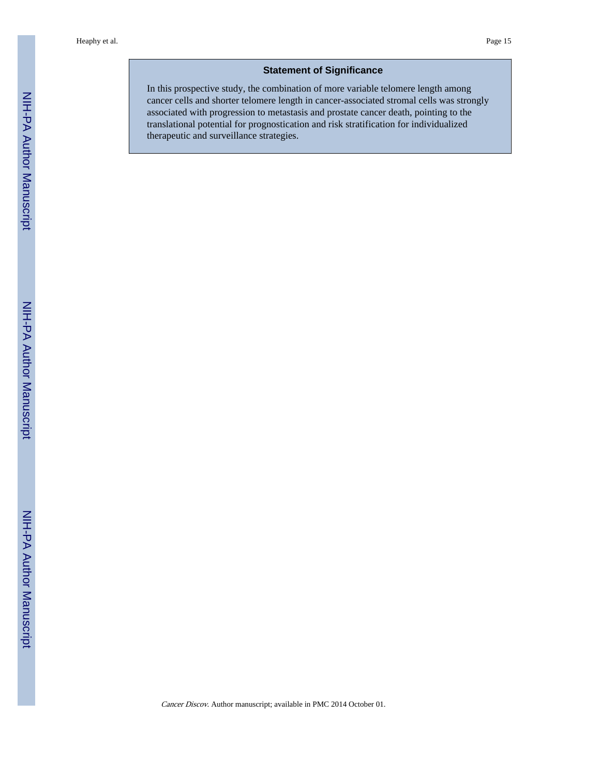#### **Statement of Significance**

In this prospective study, the combination of more variable telomere length among cancer cells and shorter telomere length in cancer-associated stromal cells was strongly associated with progression to metastasis and prostate cancer death, pointing to the translational potential for prognostication and risk stratification for individualized therapeutic and surveillance strategies.

NIH-PA Author Manuscript

NIH-PA Author Manuscript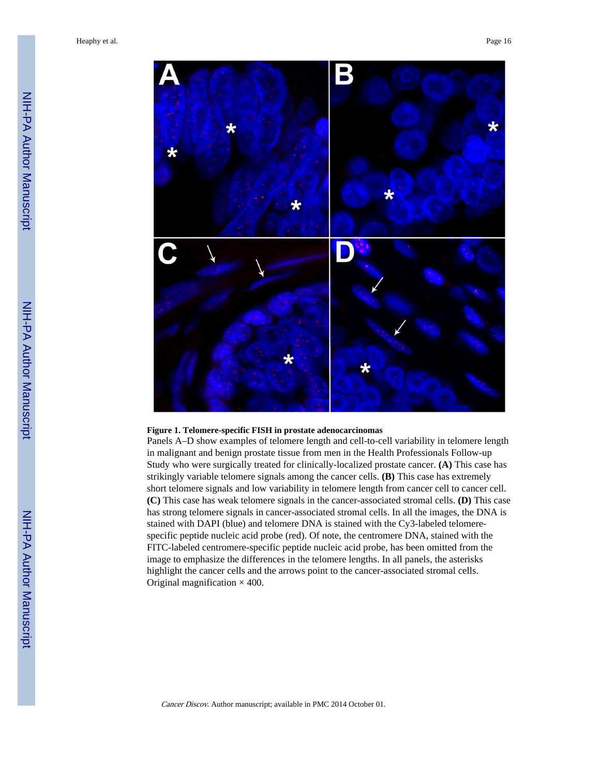

#### **Figure 1. Telomere-specific FISH in prostate adenocarcinomas**

Panels A–D show examples of telomere length and cell-to-cell variability in telomere length in malignant and benign prostate tissue from men in the Health Professionals Follow-up Study who were surgically treated for clinically-localized prostate cancer. **(A)** This case has strikingly variable telomere signals among the cancer cells. **(B)** This case has extremely short telomere signals and low variability in telomere length from cancer cell to cancer cell. **(C)** This case has weak telomere signals in the cancer-associated stromal cells. **(D)** This case has strong telomere signals in cancer-associated stromal cells. In all the images, the DNA is stained with DAPI (blue) and telomere DNA is stained with the Cy3-labeled telomerespecific peptide nucleic acid probe (red). Of note, the centromere DNA, stained with the FITC-labeled centromere-specific peptide nucleic acid probe, has been omitted from the image to emphasize the differences in the telomere lengths. In all panels, the asterisks highlight the cancer cells and the arrows point to the cancer-associated stromal cells. Original magnification  $\times$  400.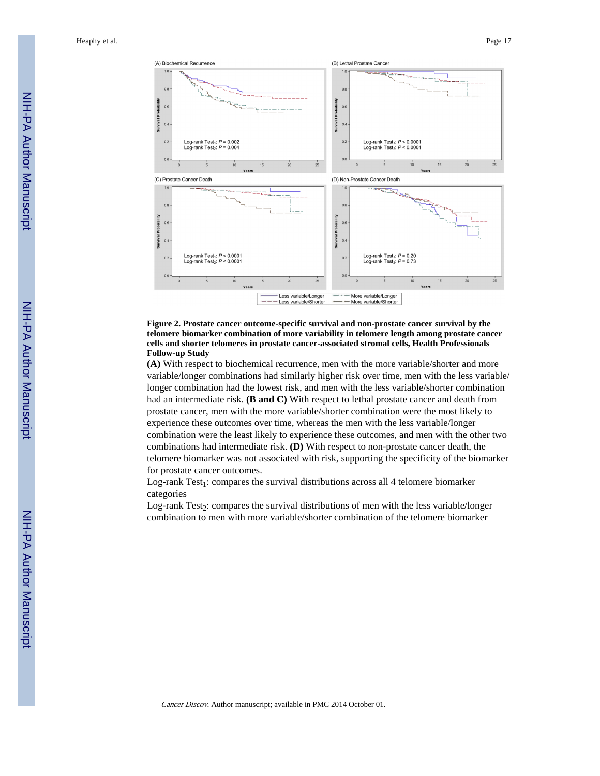

#### **Figure 2. Prostate cancer outcome-specific survival and non-prostate cancer survival by the telomere biomarker combination of more variability in telomere length among prostate cancer cells and shorter telomeres in prostate cancer-associated stromal cells, Health Professionals Follow-up Study**

**(A)** With respect to biochemical recurrence, men with the more variable/shorter and more variable/longer combinations had similarly higher risk over time, men with the less variable/ longer combination had the lowest risk, and men with the less variable/shorter combination had an intermediate risk. **(B and C)** With respect to lethal prostate cancer and death from prostate cancer, men with the more variable/shorter combination were the most likely to experience these outcomes over time, whereas the men with the less variable/longer combination were the least likely to experience these outcomes, and men with the other two combinations had intermediate risk. **(D)** With respect to non-prostate cancer death, the telomere biomarker was not associated with risk, supporting the specificity of the biomarker for prostate cancer outcomes.

Log-rank Test<sub>1</sub>: compares the survival distributions across all 4 telomere biomarker categories

Log-rank Test<sub>2</sub>: compares the survival distributions of men with the less variable/longer combination to men with more variable/shorter combination of the telomere biomarker

NIH-PA Author Manuscript

NH-PA Author Manuscript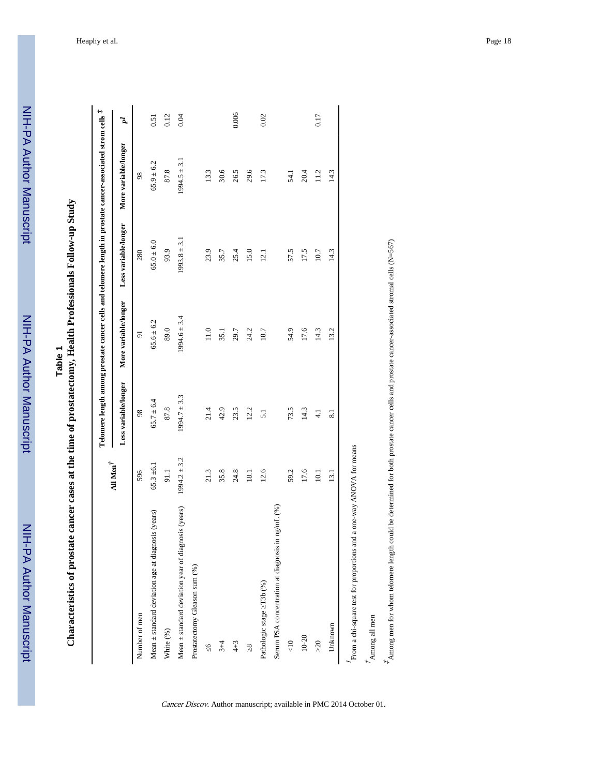| Φ             |
|---------------|
|               |
| í<br>г.<br>۰. |
| ţ             |
|               |

Characteristics of prostate cancer cases at the time of prostatectomy, Health Professionals Follow-up Study **Characteristics of prostate cancer cases at the time of prostatectomy, Health Professionals Follow-up Study**

|                                                         |                           |                      |                      |                      | Telomere length among prostate cancer cells and telomere length in prostate cancer-associated strom cells $t^k$ |       |
|---------------------------------------------------------|---------------------------|----------------------|----------------------|----------------------|-----------------------------------------------------------------------------------------------------------------|-------|
|                                                         | All Men $^{\dagger}$      | Less variable/longer | More variable/longer | Less variable/longer | More variable/longer                                                                                            | ī     |
| Number of men                                           | 596                       | 98                   | 5                    | 280                  | 98                                                                                                              |       |
| Mean ± standard deviation age at diagnosis (years)      | $65.3 \pm 6.1$            | $65.7 \pm 6.4$       | $65.6 \pm 6.2$       | $65.0 \pm 6.0$       | $65.9 \pm 6.2$                                                                                                  | 0.51  |
| White (%)                                               | 91.1                      | 87.8                 | 89.0                 | 93.9                 | 87.8                                                                                                            | 0.12  |
| Mean $\pm$ standard deviation year of diagnosis (years) | $1994.2 \pm 3.2$          | $1994.7 \pm 3.3$     | $1994.6 \pm 3.4$     | $1993.8 \pm 3.$      | $1994.5 \pm 3.1$                                                                                                | 0.04  |
| Prostatectomy Gleason sum (%)                           |                           |                      |                      |                      |                                                                                                                 |       |
| ७                                                       | 21.3                      | 21.4                 | 11.0                 | 23.9                 | 13.3                                                                                                            |       |
| $3 + 4$                                                 | 35.8                      | 42.9                 | 35.1                 | 35.7                 | 30.6                                                                                                            |       |
| $4 + 3$                                                 | 24.8                      | 23.5                 | 29.7                 | 25.4                 | 26.5                                                                                                            | 0.006 |
| $\infty$                                                | 18.1                      | 12.2                 | 24.2                 | 15.0                 | 29.6                                                                                                            |       |
| Pathologic stage T3b (%)                                | 12.6                      | $\overline{51}$      | 18.7                 | 12.1                 | 17.3                                                                                                            | 0.02  |
| Serum PSA concentration at diagnosis in ng/mL (%)       |                           |                      |                      |                      |                                                                                                                 |       |
| $\frac{1}{\sqrt{2}}$                                    | 59.2                      | 73.5                 | 54.9                 | 57.5                 | 54.1                                                                                                            |       |
| $10 - 20$                                               | 17.6                      | 14.3                 | 17.6                 | 17.5                 | 20.4                                                                                                            |       |
| $>20$                                                   | 10.1                      | 4.1                  | 14.3                 | 10.7                 | 11.2                                                                                                            | 0.17  |
| Unknown                                                 | $\frac{13.1}{2}$          | $\overline{81}$      | 13.2                 | 14.3                 | 14.3                                                                                                            |       |
| From a chi-square test for proportions and              | a one-way ANOVA for means |                      |                      |                      |                                                                                                                 |       |

Cancer Discov. Author manuscript; available in PMC 2014 October 01.

 $\vec{r}_{\mathrm{Among}}$ all men Among all men

 $*_{\text{Among}}$  men for whom telomere length could be determined for both prostate cancer cells and prostate cancer-associated stromal cells (N=567)  $^{\sharp}$ Among men for whom telomere length could be determined for both prostate cancer cells and prostate cancer-associated stromal cells (N=567)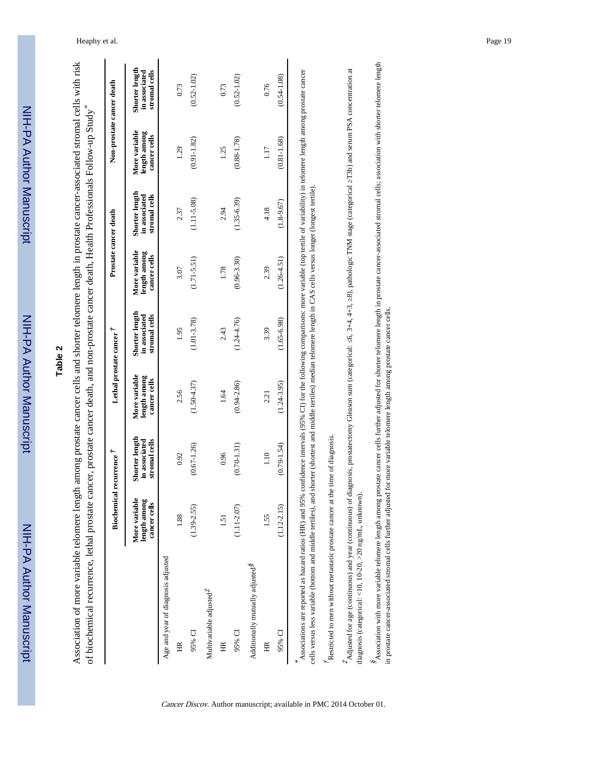| í            |
|--------------|
|              |
|              |
|              |
|              |
|              |
|              |
|              |
|              |
|              |
|              |
|              |
|              |
|              |
|              |
|              |
|              |
| <u>מוווח</u> |
|              |
|              |
|              |
|              |
|              |
|              |
|              |
| יומוי        |
|              |
|              |
|              |
|              |
|              |
|              |
|              |
|              |
|              |
| ļ            |
|              |
|              |
|              |
|              |
|              |
|              |
|              |

# **Table 2**

Association of more variable telomere length among prostate cancer cells and shorter telomere length in prostate cancer-associated stromal cells with risk Association of more variable telomere length among prostate cancer cells and shorter telomere length in prostate cancer-associated stromal cells with risk \* of biochemical recurrence, lethal prostate cancer, prostate cancer death, and non-prostate cancer death, Health Professionals Follow-up Study

|                                                                                                                                                                                                                                   | Biochemical recurrence                        |                                                  | Lethal prostate cancer                        |                                                                                                                                                    | Prostate cancer death                         |                                                  | Non-prostate cancer death                     |                                                  |
|-----------------------------------------------------------------------------------------------------------------------------------------------------------------------------------------------------------------------------------|-----------------------------------------------|--------------------------------------------------|-----------------------------------------------|----------------------------------------------------------------------------------------------------------------------------------------------------|-----------------------------------------------|--------------------------------------------------|-----------------------------------------------|--------------------------------------------------|
|                                                                                                                                                                                                                                   | More variable<br>length among<br>cancer cells | Shorter length<br>in associated<br>stromal cells | More variable<br>length among<br>cancer cells | Shorter length<br>stromal cells<br>in associated                                                                                                   | More variable<br>length among<br>cancer cells | Shorter length<br>stromal cells<br>in associated | More variable<br>length among<br>cancer cells | Shorter length<br>stromal cells<br>in associated |
| Age and year of diagnosis adjusted                                                                                                                                                                                                |                                               |                                                  |                                               |                                                                                                                                                    |                                               |                                                  |                                               |                                                  |
| $\widetilde{H}$                                                                                                                                                                                                                   | 1.88                                          | 0.92                                             | 2.56                                          | 1.95                                                                                                                                               | 3.07                                          | 2.37                                             | 1.29                                          | 0.73                                             |
| 95% CI                                                                                                                                                                                                                            | $(1.39 - 2.55)$                               | $(0.67 - 1.26)$                                  | $(1.50 - 4.37)$                               | $(1.01 - 3.78)$                                                                                                                                    | $(1.71 - 5.51)$                               | $(1.11 - 5.08)$                                  | $(0.91 - 1.82)$                               | $(0.52 - 1.02)$                                  |
| Multivariable adjusted <sup>7</sup>                                                                                                                                                                                               |                                               |                                                  |                                               |                                                                                                                                                    |                                               |                                                  |                                               |                                                  |
| HR                                                                                                                                                                                                                                | 1.51                                          | 0.96                                             | 1.64                                          | 2.43                                                                                                                                               | 1.78                                          | 2.94                                             | 1.25                                          | 0.73                                             |
| $95\%$ CI                                                                                                                                                                                                                         | $(1.11 - 2.07)$                               | $(0.70 - 1.31)$                                  | $(0.94 - 2.86)$                               | $(1.24 - 4.76)$                                                                                                                                    | $(0.96 - 3.30)$                               | $(1.35 - 6.39)$                                  | $(0.88 - 1.78)$                               | $(0.52 - 1.02)$                                  |
| Additionally mutually adjusted <sup>8</sup>                                                                                                                                                                                       |                                               |                                                  |                                               |                                                                                                                                                    |                                               |                                                  |                                               |                                                  |
| HR                                                                                                                                                                                                                                | 1.55                                          | 1.10                                             | 2.21                                          | 3.39                                                                                                                                               | 2.39                                          | 4.18                                             | 1.17                                          | 0.76                                             |
| 95% CI                                                                                                                                                                                                                            | $(1.12 - 2.15)$                               | $(0.79 - 1.54)$                                  | $(1.24 - 3.95)$                               | $(1.65 - 6.98)$                                                                                                                                    | $(1.26 - 4.51)$                               | $(1.8 - 9.67)$                                   | $(0.81 - 1.68)$                               | $(0.54 - 1.08)$                                  |
| cells versus less variable (bottom and middle tertiles), and shorter (shortest and middle tertiles) median telomere length in CAS cells versus longer (longest tertile)<br>Associations are reported as hazard ratios (HR) and 95 |                                               |                                                  |                                               | % confidence intervals (95% CI) for the following comparisons: more variable (top tertile of variability) in telomere length among prostate cancer |                                               |                                                  |                                               |                                                  |
| Restricted to men without metastatic prostate cancer at                                                                                                                                                                           |                                               | the time of diagnosis.                           |                                               |                                                                                                                                                    |                                               |                                                  |                                               |                                                  |

 $*$ Adjusted for age (continuous) and year (continuous) of diagnosis, prostatectomy Gleason sum (categorical: 6, 3+4, 4+3, 8), pathologic TNM stage (categorical T3b) and serum PSA concentration at discussion and served and ‡ Adjusted for age (continuous) and year (continuous) of diagnosis, prostatectomy Gleason sum (categorical: ≤6, 3+4, 4+3, ≥8), pathologic TNM stage (categorical ≥T3b) and serum PSA concentration at

 $s_{\rm Association}$  with more variable telomere length among prostate cancer cells further adjusted for shorter telomere length in prostate cancer-associated stromal cells; association with shorter telomere length diagnosis (categorical: <10, 10-20, >20 ng/mL, unknown). diagnosis (categorical: <10, 10-20, >20 ng/mL, unknown).

 Association with more variable telomere length among prostate cancer cells further adjusted for shorter telomere length in prostate cancer-associated stromal cells; association with shorter telomere length in prostate cancer-associated stromal cells further adjusted for more variable telomere length among prostate cancer cells. in prostate cancer-associated stromal cells further adjusted for more variable telomere length among prostate cancer cells.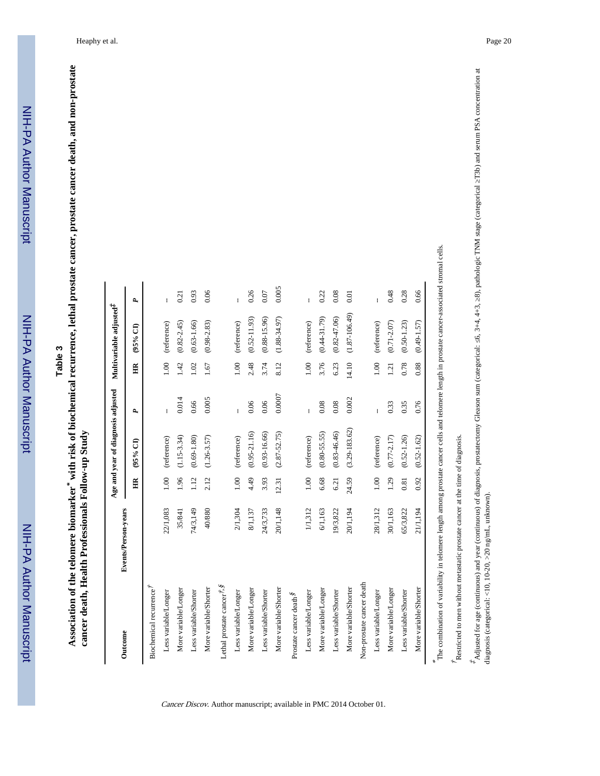Table 3<br>Association of the telomere biomarker<sup>\*</sup> with risk of biochemical recurrence, lethal prostate cancer, prostate cancer death, and non-prostate *\** **with risk of biochemical recurrence, lethal prostate cancer, prostate cancer death, and non-prostate** cancer death, Health Professionals Follow-up Study **cancer death, Health Professionals Follow-up Study Association of the telomere biomarker**

| Outcome                                           | Events/Person-years |                 | Age and year of diagnosis adjusted |        |       | Multivariable adjusted <sup>*</sup> |       |
|---------------------------------------------------|---------------------|-----------------|------------------------------------|--------|-------|-------------------------------------|-------|
|                                                   |                     | $\widetilde{H}$ | $(95%$ CI                          | A,     | Ĕ     | (95% CI)                            | P,    |
| Biochemical recurrence <sup>7</sup>               |                     |                 |                                    |        |       |                                     |       |
| Less variable/Longer                              | 22/1,083            | 00.1            | (reference)                        | ł      | 00.1  | (reference)                         | ł     |
| More variable/Longer                              | 35/841              | 1.96            | $(1.15 - 3.34)$                    | 0.014  | 1.42  | $(0.82 - 2.45)$                     | 0.21  |
| Less variable/Shorter                             | 74/3,149            | 1.12            | $(0.69 - 1.80)$                    | 0.66   | 1.02  | $(0.63 - 1.66)$                     | 0.93  |
| More variable/Shorter                             | 40/880              | 2.12            | $(1.26 - 3.57)$                    | 0.005  | 1.67  | $(0.98 - 2.83)$                     | 0.06  |
| Lethal prostate cancer $\vec{r}$ , $\hat{\bm{s}}$ |                     |                 |                                    |        |       |                                     |       |
| Less variable/Longer                              | 2/1,304             | 00.1            | (reference)                        |        | 0.001 | (reference)                         |       |
| More variable/Longer                              | 8/1,137             | 4.49            | $(0.95 - 21.16)$                   | 0.06   | 2.48  | $(0.52 - 11.93)$                    | 0.26  |
| Less variable/Shorter                             | 24/3,733            | 3.93            | $(0.93 - 16.66)$                   | 0.06   | 3.74  | $(0.88 - 15.96)$                    | 0.07  |
| More variable/Shorter                             | 20/1,148            | 12.31           | $(2.87 - 52.75)$                   | 0.0007 | 8.12  | $(1.88 - 34.97)$                    | 0.005 |
| Prostate cancer death <sup>§</sup>                |                     |                 |                                    |        |       |                                     |       |
| Less variable/Longer                              | 1/1,312             | 1.00            | (reference)                        | ł      | 1.00  | (reference)                         | ŧ     |
| More variable/Longer                              | 6/1,163             | 6.68            | $(0.80 - 55.55)$                   | 0.08   | 3.76  | $(0.44 - 31.79)$                    | 0.22  |
| Less variable/Shorter                             | 19/3,822            | 6.21            | $(0.83 - 46.46)$                   | 0.08   | 6.23  | $(0.82 - 47.06)$                    | 0.08  |
| More variable/Shorter                             | 20/1,194            | 24.59           | $(3.29 - 183.62)$                  | 0.002  | 14.10 | $(1.87 - 106.49)$                   | 0.01  |
| Non-prostate cancer death                         |                     |                 |                                    |        |       |                                     |       |
| Less variable/Longer                              | 28/1,312            | 0.001           | (reference)                        |        | 00.1  | (reference)                         |       |
| More variable/Longer                              | 30/1,163            | 1.29            | $(0.77 - 2.17)$                    | 0.33   | 1.21  | $(0.71 - 2.07)$                     | 0.48  |
| Less variable/Shorter                             | 65/3,822            | 0.81            | $(0.52 - 1.26)$                    | 0.35   | 0.78  | $(0.50 - 1.23)$                     | 0.28  |
| More variable/Shorter                             | 21/1,194            | 0.92            | $(0.52 - 1.62)$                    | 0.76   | 0.88  | $(0.49 - 1.57)$                     | 0.66  |

Cancer Discov. Author manuscript; available in PMC 2014 October 01.

 $\hat{\textbf{r}}$  estricted to men without metastatic prostate cancer at the time of diagnosis. Restricted to men without metastatic prostate cancer at the time of diagnosis.

diagnosis (categorical: <10, 10-20, >20 ng/mL, unknown).

diagnosis (categorical: <10, 10-20, >20 ng/mL, unknown).

‡ Adjusted for age (continuous) and year (continuous) of diagnosis, prostatectomy Gleason sum (categorical: ≤6, 3+4, 4+3, ≥8), pathologic TNM stage (categorical ≥T3b) and serum PSA concentration at

 $^*$ Adjusted for age (continuous) and year (continuous) of diagnosis, prostatectomy Gleason sum (categorical: 6, 3+4, 4+3, 8), pathologic TNM stage (categorical T3b) and serum PSA concentration at disamosis (caregorical -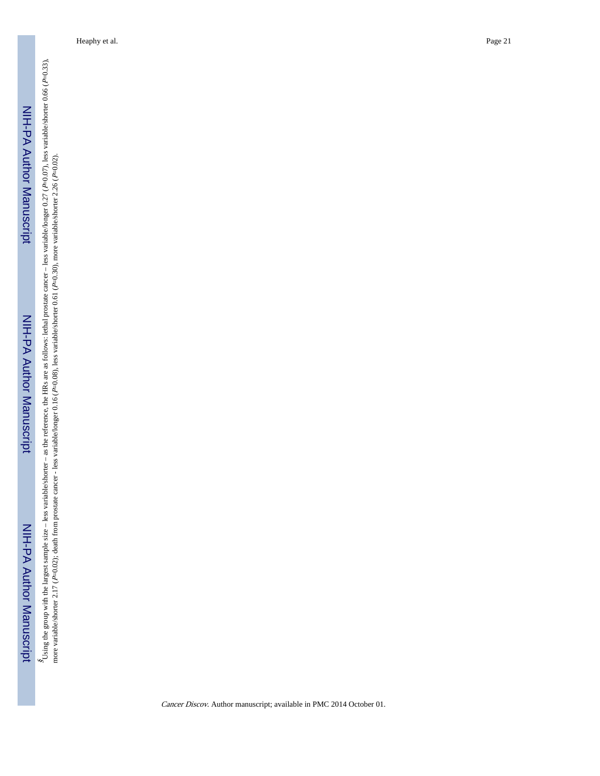§ Using the group with the largest sample size – less variable/shorter – as the reference, the HRs are as follows: lethal prostate cancer – less variable/longer 0.27 ( P=0.07), less variable/shorter 0.66 ( P=0.33), more variable/shorter 2.17 ( P=0.02); death from prostate cancer - less variable/longer 0.16 ( P=0.08), less variable/shorter 0.61 ( P=0.30), more variable/shorter 2.26 ( P=0.02).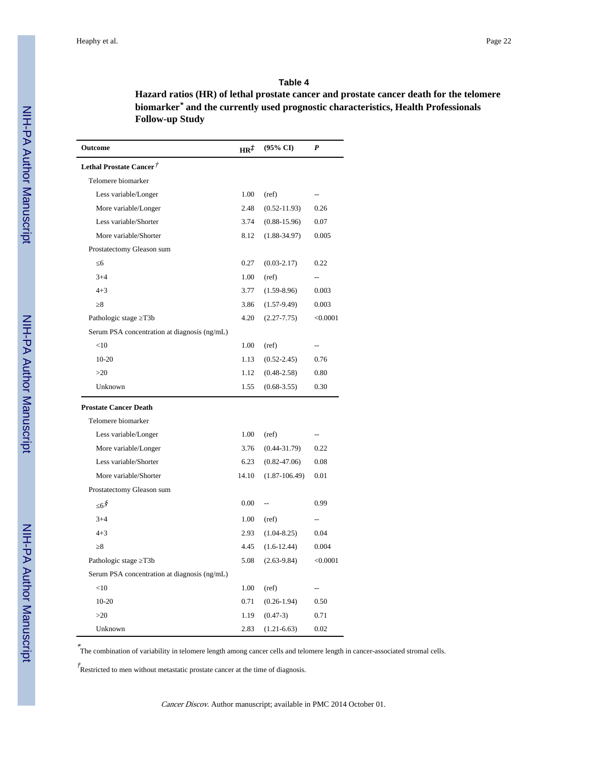#### **Table 4**

**Hazard ratios (HR) of lethal prostate cancer and prostate cancer death for the telomere biomarker***\**  **and the currently used prognostic characteristics, Health Professionals Follow-up Study**

| Outcome                                      | HR‡   | $(95\% \text{ CI})$ | P              |
|----------------------------------------------|-------|---------------------|----------------|
| Lethal Prostate Cancer <sup>†</sup>          |       |                     |                |
| Telomere biomarker                           |       |                     |                |
| Less variable/Longer                         | 1.00  | (ref)               |                |
| More variable/Longer                         | 2.48  | $(0.52 - 11.93)$    | 0.26           |
| Less variable/Shorter                        | 3.74  | $(0.88 - 15.96)$    | 0.07           |
| More variable/Shorter                        | 8.12  | $(1.88 - 34.97)$    | 0.005          |
| Prostatectomy Gleason sum                    |       |                     |                |
| 6                                            | 0.27  | $(0.03 - 2.17)$     | 0.22           |
| $3 + 4$                                      | 1.00  | (ref)               | $\overline{a}$ |
| $4 + 3$                                      | 3.77  | $(1.59 - 8.96)$     | 0.003          |
| 8                                            | 3.86  | $(1.57-9.49)$       | 0.003          |
| Pathologic stage T3b                         | 4.20  | $(2.27 - 7.75)$     | < 0.0001       |
| Serum PSA concentration at diagnosis (ng/mL) |       |                     |                |
| <10                                          | 1.00  | (ref)               | --             |
| $10-20$                                      | 1.13  | $(0.52 - 2.45)$     | 0.76           |
| >20                                          | 1.12  | $(0.48 - 2.58)$     | 0.80           |
| Unknown                                      | 1.55  | $(0.68 - 3.55)$     | 0.30           |
| <b>Prostate Cancer Death</b>                 |       |                     |                |
| Telomere biomarker                           |       |                     |                |
| Less variable/Longer                         | 1.00  | (ref)               |                |
| More variable/Longer                         | 3.76  | $(0.44 - 31.79)$    | 0.22           |
| Less variable/Shorter                        | 6.23  | $(0.82 - 47.06)$    | 0.08           |
| More variable/Shorter                        | 14.10 | $(1.87 - 106.49)$   | 0.01           |
| Prostatectomy Gleason sum                    |       |                     |                |
| 68้                                          | 0.00  | u.                  | 0.99           |
| $3 + 4$                                      | 1.00  | (ref)               | --             |
| $4 + 3$                                      | 2.93  | $(1.04 - 8.25)$     | 0.04           |
| 8                                            | 4.45  | $(1.6-12.44)$       | 0.004          |
| Pathologic stage T3b                         | 5.08  | $(2.63-9.84)$       | < 0.0001       |
| Serum PSA concentration at diagnosis (ng/mL) |       |                     |                |
| <10                                          | 1.00  | (ref)               | --             |
| $10 - 20$                                    | 0.71  | $(0.26 - 1.94)$     | 0.50           |
| >20                                          | 1.19  | $(0.47-3)$          | 0.71           |
| Unknown                                      | 2.83  | $(1.21 - 6.63)$     | 0.02           |

\* The combination of variability in telomere length among cancer cells and telomere length in cancer-associated stromal cells.

 $\phi^{\dagger}$ Restricted to men without metastatic prostate cancer at the time of diagnosis.